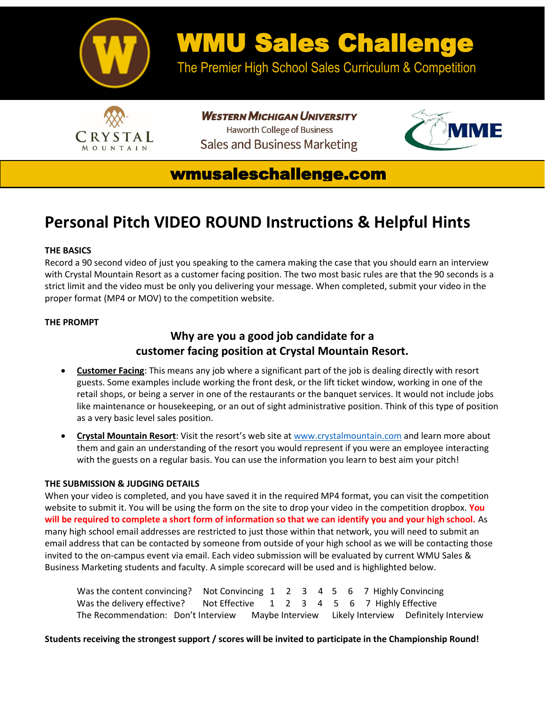

# WMU Sales Challenge

The Premier High School Sales Curriculum & Competition



**WESTERN MICHIGAN UNIVERSITY Haworth College of Business Sales and Business Marketing** 



## wmusaleschallenge.com

# **Personal Pitch VIDEO ROUND Instructions & Helpful Hints**

## **THE BASICS**

Record a 90 second video of just you speaking to the camera making the case that you should earn an interview with Crystal Mountain Resort as a customer facing position. The two most basic rules are that the 90 seconds is a strict limit and the video must be only you delivering your message. When completed, submit your video in the proper format (MP4 or MOV) to the competition website.

## **THE PROMPT**

## **Why are you a good job candidate for a customer facing position at Crystal Mountain Resort.**

- **Customer Facing**: This means any job where a significant part of the job is dealing directly with resort guests. Some examples include working the front desk, or the lift ticket window, working in one of the retail shops, or being a server in one of the restaurants or the banquet services. It would not include jobs like maintenance or housekeeping, or an out of sight administrative position. Think of this type of position as a very basic level sales position.
- **Crystal Mountain Resort**: Visit the resort's web site at [www.crystalmountain.com](http://www.crystalmountain.com/) and learn more about them and gain an understanding of the resort you would represent if you were an employee interacting with the guests on a regular basis. You can use the information you learn to best aim your pitch!

## **THE SUBMISSION & JUDGING DETAILS**

When your video is completed, and you have saved it in the required MP4 format, you can visit the competition website to submit it. You will be using the form on the site to drop your video in the competition dropbox. **You will be required to complete a short form of information so that we can identify you and your high school.** As many high school email addresses are restricted to just those within that network, you will need to submit an email address that can be contacted by someone from outside of your high school as we will be contacting those invited to the on-campus event via email. Each video submission will be evaluated by current WMU Sales & Business Marketing students and faculty. A simple scorecard will be used and is highlighted below.

| Was the content convincing? Not Convincing 1 2 3 4 5 6 7 Highly Convincing                |  |  |  |  |  |
|-------------------------------------------------------------------------------------------|--|--|--|--|--|
| Was the delivery effective? Not Effective 1 2 3 4 5 6 7 Highly Effective                  |  |  |  |  |  |
| The Recommendation: Don't Interview Maybe Interview Likely Interview Definitely Interview |  |  |  |  |  |

**Students receiving the strongest support / scores will be invited to participate in the Championship Round!**